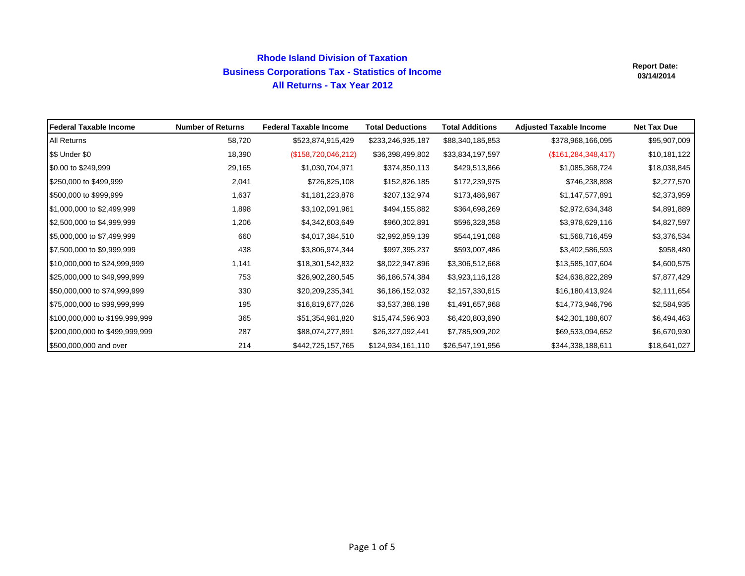# **Rhode Island Division of Taxation Business Corporations Tax - Statistics of Income All Returns - Tax Year 2012**

| <b>IFederal Taxable Income</b> | <b>Number of Returns</b> | <b>Federal Taxable Income</b> | <b>Total Deductions</b> | <b>Total Additions</b> | <b>Adjusted Taxable Income</b> | <b>Net Tax Due</b> |
|--------------------------------|--------------------------|-------------------------------|-------------------------|------------------------|--------------------------------|--------------------|
| All Returns                    | 58,720                   | \$523,874,915,429             | \$233,246,935,187       | \$88,340,185,853       | \$378,968,166,095              | \$95,907,009       |
| \$\$ Under \$0                 | 18,390                   | (\$158,720,046,212)           | \$36,398,499,802        | \$33,834,197,597       | (\$161, 284, 348, 417)         | \$10,181,122       |
| \$0.00 to \$249,999            | 29,165                   | \$1,030,704,971               | \$374,850,113           | \$429,513,866          | \$1,085,368,724                | \$18,038,845       |
| \$250,000 to \$499,999         | 2,041                    | \$726,825,108                 | \$152,826,185           | \$172,239,975          | \$746,238,898                  | \$2,277,570        |
| \$500,000 to \$999,999         | 1,637                    | \$1,181,223,878               | \$207,132,974           | \$173,486,987          | \$1,147,577,891                | \$2,373,959        |
| \$1,000,000 to \$2,499,999     | 1,898                    | \$3,102,091,961               | \$494,155,882           | \$364,698,269          | \$2,972,634,348                | \$4,891,889        |
| \$2,500,000 to \$4,999,999     | 1,206                    | \$4,342,603,649               | \$960,302,891           | \$596,328,358          | \$3,978,629,116                | \$4,827,597        |
| \$5,000,000 to \$7,499,999     | 660                      | \$4,017,384,510               | \$2,992,859,139         | \$544,191,088          | \$1,568,716,459                | \$3,376,534        |
| \$7,500,000 to \$9,999,999     | 438                      | \$3,806,974,344               | \$997,395,237           | \$593,007,486          | \$3,402,586,593                | \$958,480          |
| \$10,000,000 to \$24,999,999   | 1,141                    | \$18,301,542,832              | \$8,022,947,896         | \$3,306,512,668        | \$13,585,107,604               | \$4,600,575        |
| \$25,000,000 to \$49,999,999   | 753                      | \$26,902,280,545              | \$6,186,574,384         | \$3,923,116,128        | \$24,638,822,289               | \$7,877,429        |
| \$50,000,000 to \$74,999,999   | 330                      | \$20,209,235,341              | \$6,186,152,032         | \$2,157,330,615        | \$16,180,413,924               | \$2,111,654        |
| \$75,000,000 to \$99,999,999   | 195                      | \$16,819,677,026              | \$3,537,388,198         | \$1,491,657,968        | \$14,773,946,796               | \$2,584,935        |
| \$100,000,000 to \$199,999,999 | 365                      | \$51,354,981,820              | \$15,474,596,903        | \$6,420,803,690        | \$42,301,188,607               | \$6,494,463        |
| \$200,000,000 to \$499,999,999 | 287                      | \$88,074,277,891              | \$26,327,092,441        | \$7,785,909,202        | \$69,533,094,652               | \$6,670,930        |
| \$500,000,000 and over         | 214                      | \$442,725,157,765             | \$124,934,161,110       | \$26,547,191,956       | \$344,338,188,611              | \$18,641,027       |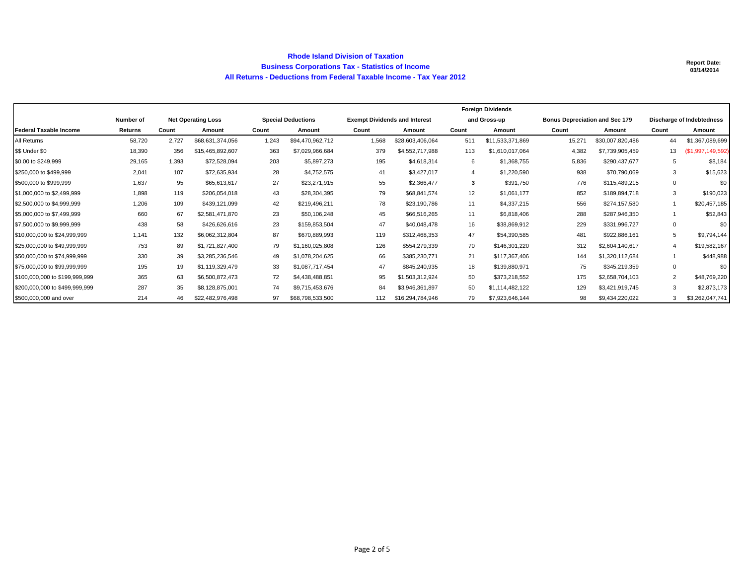#### **Rhode Island Division of Taxation Business Corporations Tax - Statistics of Income All Returns - Deductions from Federal Taxable Income - Tax Year 2012**

|                                |           |       |                           | <b>Foreign Dividends</b> |                           |                                      |                  |       |                  |                                       |                  |                           |                   |
|--------------------------------|-----------|-------|---------------------------|--------------------------|---------------------------|--------------------------------------|------------------|-------|------------------|---------------------------------------|------------------|---------------------------|-------------------|
|                                | Number of |       | <b>Net Operating Loss</b> |                          | <b>Special Deductions</b> | <b>Exempt Dividends and Interest</b> |                  |       | and Gross-up     | <b>Bonus Depreciation and Sec 179</b> |                  | Discharge of Indebtedness |                   |
| <b>Federal Taxable Income</b>  | Returns   | Count | Amount                    | Count                    | Amount                    | Count                                | Amount           | Count | Amount           | Count                                 | Amount           | Count                     | Amount            |
| All Returns                    | 58,720    | 2.727 | \$68,631,374,056          | 1,243                    | \$94,470,962,712          | 1,568                                | \$28,603,406,064 | 511   | \$11,533,371,869 | 15,271                                | \$30,007,820,486 | 44                        | \$1,367,089,699   |
| \$\$ Under \$0                 | 18,390    | 356   | \$15,465,892,607          | 363                      | \$7,029,966,684           | 379                                  | \$4,552,717,988  | 113   | \$1,610,017,064  | 4,382                                 | \$7,739,905,459  | 13                        | (\$1,997,149,592) |
| \$0.00 to \$249,999            | 29,165    | 1,393 | \$72,528,094              | 203                      | \$5,897,273               | 195                                  | \$4,618,314      | 6     | \$1,368,755      | 5,836                                 | \$290,437,677    | 5                         | \$8,184           |
| \$250,000 to \$499,999         | 2.041     | 107   | \$72,635,934              | 28                       | \$4,752,575               | 41                                   | \$3,427,017      | 4     | \$1,220,590      | 938                                   | \$70,790,069     | 3                         | \$15,623          |
| \$500,000 to \$999,999         | 1.637     | 95    | \$65,613,617              | 27                       | \$23,271,915              | 55                                   | \$2,366,477      | 3     | \$391,750        | 776                                   | \$115,489,215    |                           | \$0               |
| \$1,000,000 to \$2,499,999     | 1,898     | 119   | \$206,054,018             | 43                       | \$28,304,395              | 79                                   | \$68,841,574     | 12    | \$1,061,177      | 852                                   | \$189,894,718    | 3                         | \$190,023         |
| \$2,500,000 to \$4,999,999     | 1.206     | 109   | \$439,121,099             | 42                       | \$219,496,211             | 78                                   | \$23,190,786     | 11    | \$4,337,215      | 556                                   | \$274,157,580    |                           | \$20,457,185      |
| \$5,000,000 to \$7,499,999     | 660       | 67    | \$2,581,471,870           | 23                       | \$50,106,248              | 45                                   | \$66,516,265     | 11    | \$6,818,406      | 288                                   | \$287,946,350    |                           | \$52,843          |
| \$7,500,000 to \$9,999,999     | 438       | 58    | \$426,626,616             | 23                       | \$159,853,504             | 47                                   | \$40.048.478     | 16    | \$38,869,912     | 229                                   | \$331.996.727    | $\Omega$                  | \$0               |
| \$10,000,000 to \$24,999,999   | 1.141     | 132   | \$6.062.312.804           | 87                       | \$670,889,993             | 119                                  | \$312.468.353    | 47    | \$54,390,585     | 481                                   | \$922,886,161    | 5                         | \$9,794,144       |
| \$25,000,000 to \$49,999.999   | 753       | 89    | \$1,721,827,400           | 79                       | \$1.160.025.808           | 126                                  | \$554,279,339    | 70    | \$146,301,220    | 312                                   | \$2,604,140,617  |                           | \$19,582,167      |
| \$50,000,000 to \$74,999,999   | 330       | 39    | \$3.285.236.546           | 49                       | \$1.078.204.625           | 66                                   | \$385,230,771    | 21    | \$117,367,406    | 144                                   | \$1,320,112,684  |                           | \$448,988         |
| \$75,000,000 to \$99,999,999   | 195       | 19    | \$1,119,329,479           | 33                       | \$1.087.717.454           | 47                                   | \$845,240,935    | 18    | \$139,880,971    | 75                                    | \$345,219,359    | $\Omega$                  | \$0               |
| \$100,000,000 to \$199,999,999 | 365       | 63    | \$6,500,872,473           | 72                       | \$4,438,488,851           | 95                                   | \$1,503,312,924  | 50    | \$373,218,552    | 175                                   | \$2,658,704,103  | $\overline{2}$            | \$48,769,220      |
| \$200,000,000 to \$499,999,999 | 287       | 35    | \$8,128,875,001           | 74                       | \$9,715,453,676           | 84                                   | \$3,946,361,897  | 50    | \$1,114,482,122  | 129                                   | \$3,421,919,745  | 3                         | \$2,873,173       |
| \$500,000,000 and over         | 214       | 46    | \$22,482,976,498          | 97                       | \$68,798,533,500          | 112                                  | \$16,294,784,946 | 79    | \$7,923,646,144  | 98                                    | \$9,434,220,022  |                           | \$3,262,047,741   |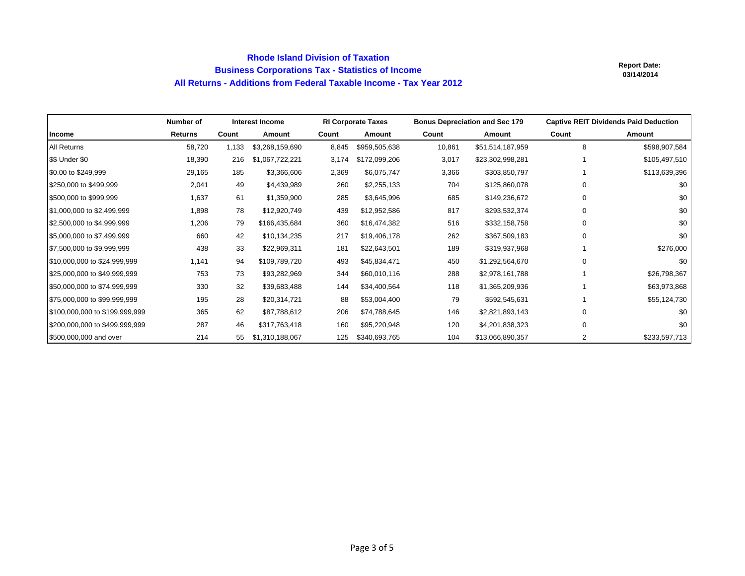## **Rhode Island Division of Taxation Business Corporations Tax - Statistics of Income All Returns - Additions from Federal Taxable Income - Tax Year 2012**

|                                | Number of      |       | <b>Interest Income</b> |       | <b>RI Corporate Taxes</b> | <b>Bonus Depreciation and Sec 179</b> |                  | <b>Captive REIT Dividends Paid Deduction</b> |               |  |
|--------------------------------|----------------|-------|------------------------|-------|---------------------------|---------------------------------------|------------------|----------------------------------------------|---------------|--|
| Income                         | <b>Returns</b> | Count | Amount                 | Count | Amount                    | Count                                 | Amount           | Count                                        | Amount        |  |
| All Returns                    | 58,720         | 1,133 | \$3,268,159,690        | 8,845 | \$959,505,638             | 10,861                                | \$51,514,187,959 | 8                                            | \$598,907,584 |  |
| \$\$ Under \$0                 | 18,390         | 216   | \$1,067,722,221        | 3,174 | \$172,099,206             | 3,017                                 | \$23,302,998,281 |                                              | \$105,497,510 |  |
| \$0.00 to \$249,999            | 29,165         | 185   | \$3,366,606            | 2,369 | \$6,075,747               | 3,366                                 | \$303,850,797    |                                              | \$113,639,396 |  |
| \$250,000 to \$499,999         | 2,041          | 49    | \$4,439,989            | 260   | \$2,255,133               | 704                                   | \$125,860,078    | 0                                            | \$0           |  |
| \$500,000 to \$999,999         | 1,637          | 61    | \$1,359,900            | 285   | \$3,645,996               | 685                                   | \$149,236,672    | 0                                            | \$0           |  |
| \$1,000,000 to \$2,499,999     | 1,898          | 78    | \$12,920,749           | 439   | \$12,952,586              | 817                                   | \$293,532,374    | 0                                            | \$0           |  |
| \$2,500,000 to \$4,999,999     | 1,206          | 79    | \$166,435,684          | 360   | \$16,474,382              | 516                                   | \$332,158,758    | 0                                            | \$0           |  |
| \$5,000,000 to \$7,499,999     | 660            | 42    | \$10,134,235           | 217   | \$19,406,178              | 262                                   | \$367,509,183    | $\Omega$                                     | \$0           |  |
| \$7,500,000 to \$9,999,999     | 438            | 33    | \$22,969,311           | 181   | \$22,643,501              | 189                                   | \$319,937,968    |                                              | \$276,000     |  |
| \$10,000,000 to \$24,999,999   | 1,141          | 94    | \$109,789,720          | 493   | \$45,834,471              | 450                                   | \$1,292,564,670  | 0                                            | \$0           |  |
| \$25,000,000 to \$49,999,999   | 753            | 73    | \$93,282,969           | 344   | \$60,010,116              | 288                                   | \$2,978,161,788  |                                              | \$26,798,367  |  |
| \$50,000,000 to \$74,999,999   | 330            | 32    | \$39,683,488           | 144   | \$34,400,564              | 118                                   | \$1,365,209,936  |                                              | \$63,973,868  |  |
| \$75,000,000 to \$99,999,999   | 195            | 28    | \$20,314,721           | 88    | \$53,004,400              | 79                                    | \$592,545,631    |                                              | \$55,124,730  |  |
| \$100,000,000 to \$199,999,999 | 365            | 62    | \$87,788,612           | 206   | \$74,788,645              | 146                                   | \$2,821,893,143  | 0                                            | \$0           |  |
| \$200,000,000 to \$499,999,999 | 287            | 46    | \$317,763,418          | 160   | \$95,220,948              | 120                                   | \$4,201,838,323  | 0                                            | \$0           |  |
| \$500,000,000 and over         | 214            | 55    | \$1,310,188,067        | 125   | \$340,693,765             | 104                                   | \$13,066,890,357 | 2                                            | \$233,597,713 |  |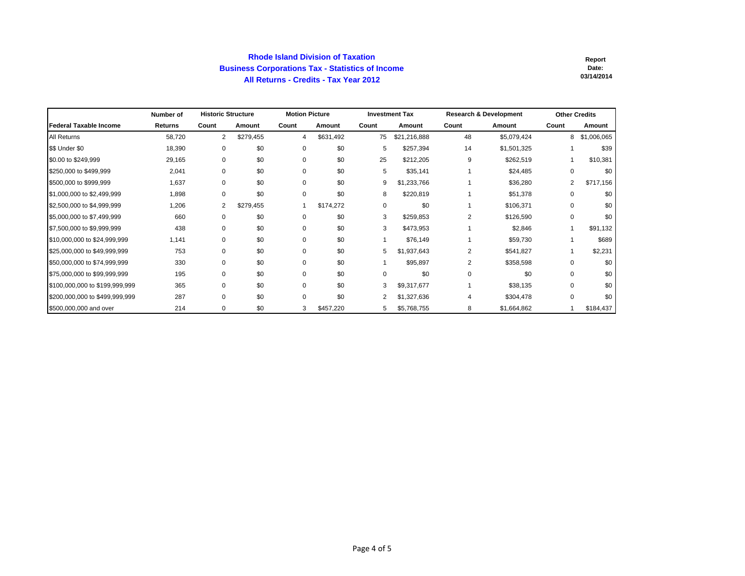### **Rhode Island Division of Taxation Business Corporations Tax - Statistics of Income All Returns - Credits - Tax Year 2012**

|                                | Number of | <b>Historic Structure</b> |           | <b>Motion Picture</b> |           |       | <b>Investment Tax</b> |                | <b>Research &amp; Development</b> | <b>Other Credits</b> |             |
|--------------------------------|-----------|---------------------------|-----------|-----------------------|-----------|-------|-----------------------|----------------|-----------------------------------|----------------------|-------------|
| Federal Taxable Income         | Returns   | Count                     | Amount    | Count                 | Amount    | Count | Amount                | Count          | Amount                            | Count                | Amount      |
| All Returns                    | 58,720    | $\overline{2}$            | \$279,455 | 4                     | \$631,492 | 75    | \$21,216,888          | 48             | \$5,079,424                       | 8                    | \$1,006,065 |
| \$\$ Under \$0                 | 18,390    | 0                         | \$0       | 0                     | \$0       | 5     | \$257,394             | 14             | \$1,501,325                       |                      | \$39        |
| \$0.00 to \$249,999            | 29,165    | $\mathbf 0$               | \$0       | 0                     | \$0       | 25    | \$212,205             | 9              | \$262,519                         |                      | \$10,381    |
| \$250,000 to \$499,999         | 2,041     | $\mathbf 0$               | \$0       | 0                     | \$0       | 5     | \$35,141              |                | \$24,485                          | $\Omega$             | \$0         |
| \$500,000 to \$999,999         | 1,637     | 0                         | \$0       | $\Omega$              | \$0       | 9     | \$1,233,766           |                | \$36,280                          | $\overline{2}$       | \$717,156   |
| \$1,000,000 to \$2,499,999     | 1,898     | 0                         | \$0       | 0                     | \$0       | 8     | \$220,819             |                | \$51,378                          | 0                    | \$0         |
| \$2,500,000 to \$4,999,999     | 1,206     | $\overline{2}$            | \$279,455 |                       | \$174,272 | 0     | \$0                   |                | \$106,371                         | 0                    | \$0         |
| \$5,000,000 to \$7,499,999     | 660       | 0                         | \$0       | $\Omega$              | \$0       | 3     | \$259,853             | $\overline{2}$ | \$126,590                         | $\Omega$             | \$0         |
| \$7,500,000 to \$9,999,999     | 438       | 0                         | \$0       | 0                     | \$0       | 3     | \$473,953             |                | \$2,846                           |                      | \$91,132    |
| \$10,000,000 to \$24,999,999   | 1,141     | 0                         | \$0       | 0                     | \$0       |       | \$76,149              |                | \$59,730                          |                      | \$689       |
| \$25,000,000 to \$49,999,999   | 753       | $\Omega$                  | \$0       | $\Omega$              | \$0       | 5     | \$1,937,643           | 2              | \$541,827                         |                      | \$2,231     |
| \$50,000,000 to \$74,999,999   | 330       | $\Omega$                  | \$0       | $\Omega$              | \$0       |       | \$95,897              | 2              | \$358,598                         | $\Omega$             | \$0         |
| \$75,000,000 to \$99,999,999   | 195       | 0                         | \$0       | 0                     | \$0       | 0     | \$0                   | $\Omega$       | \$0                               | $\Omega$             | \$0         |
| \$100,000,000 to \$199,999,999 | 365       | 0                         | \$0       | $\Omega$              | \$0       | 3     | \$9,317,677           |                | \$38,135                          | $\Omega$             | \$0         |
| \$200,000,000 to \$499,999,999 | 287       | $\mathbf 0$               | \$0       | $\Omega$              | \$0       | 2     | \$1,327,636           | 4              | \$304,478                         | $\Omega$             | \$0         |
| \$500,000,000 and over         | 214       | $\mathbf 0$               | \$0       | 3                     | \$457,220 | 5     | \$5,768,755           | 8              | \$1,664,862                       |                      | \$184,437   |